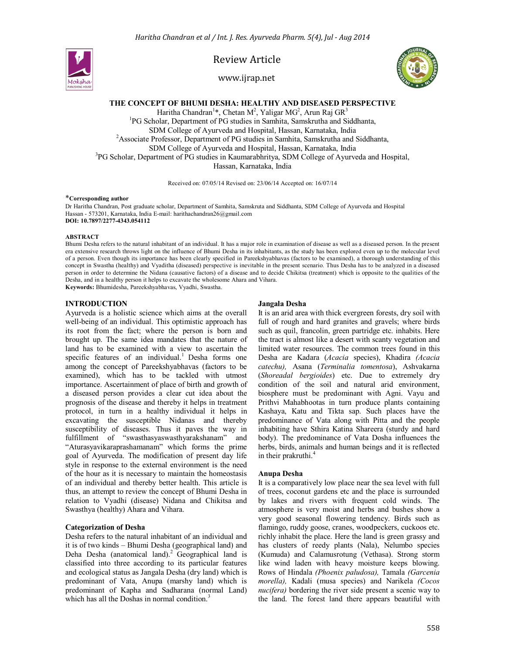*Haritha Chandran et al / Int. J. Res. Ayurveda Pharm. 5(4), Jul - Aug 2014*



Review Article

www.ijrap.net



## **THE CONCEPT OF BHUMI DESHA: HEALTHY AND DISEASED PERSPECTIVE**

Haritha Chandran<sup>1\*</sup>, Chetan M<sup>2</sup>, Yaligar MG<sup>2</sup>, Arun Raj GR<sup>3</sup> <sup>1</sup>PG Scholar, Department of PG studies in Samhita, Samskrutha and Siddhanta, SDM College of Ayurveda and Hospital, Hassan, Karnataka, India <sup>2</sup>Associate Professor, Department of PG studies in Samhita, Samskrutha and Siddhanta, SDM College of Ayurveda and Hospital, Hassan, Karnataka, India <sup>3</sup>PG Scholar, Department of PG studies in Kaumarabhritya, SDM College of Ayurveda and Hospital, Hassan, Karnataka, India

Received on: 07/05/14 Revised on: 23/06/14 Accepted on: 16/07/14

#### \***Corresponding author**

Dr Haritha Chandran, Post graduate scholar, Department of Samhita, Samskruta and Siddhanta, SDM College of Ayurveda and Hospital Hassan - 573201, Karnataka, India E-mail: harithachandran26@gmail.com **DOI: 10.7897/2277-4343.054112**

#### **ABSTRACT**

Bhumi Desha refers to the natural inhabitant of an individual. It has a major role in examination of disease as well as a diseased person. In the present era extensive research throws light on the influence of Bhumi Desha in its inhabitants, as the study has been explored even up to the molecular level of a person. Even though its importance has been clearly specified in Pareekshyabhavas (factors to be examined), a thorough understanding of this concept in Swastha (healthy) and Vyaditha (diseased) perspective is inevitable in the present scenario. Thus Desha has to be analyzed in a diseased person in order to determine the Nidana (causative factors) of a disease and to decide Chikitsa (treatment) which is opposite to the qualities of the Desha, and in a healthy person it helps to excavate the wholesome Ahara and Vihara. **Keywords:** Bhumidesha, Pareekshyabhavas, Vyadhi, Swastha.

### **INTRODUCTION**

Ayurveda is a holistic science which aims at the overall well-being of an individual. This optimistic approach has its root from the fact; where the person is born and brought up. The same idea mandates that the nature of land has to be examined with a view to ascertain the specific features of an individual.<sup>1</sup> Desha forms one among the concept of Pareekshyabhavas (factors to be examined), which has to be tackled with utmost importance. Ascertainment of place of birth and growth of a diseased person provides a clear cut idea about the prognosis of the disease and thereby it helps in treatment protocol, in turn in a healthy individual it helps in excavating the susceptible Nidanas and thereby susceptibility of diseases. Thus it paves the way in fulfillment of "swasthasyaswasthyarakshanam" and "Aturasyavikaraprashamanam" which forms the prime goal of Ayurveda. The modification of present day life style in response to the external environment is the need of the hour as it is necessary to maintain the homeostasis of an individual and thereby better health. This article is thus, an attempt to review the concept of Bhumi Desha in relation to Vyadhi (disease) Nidana and Chikitsa and Swasthya (healthy) Ahara and Vihara.

### **Categorization of Desha**

Desha refers to the natural inhabitant of an individual and it is of two kinds – Bhumi Desha (geographical land) and Deha Desha (anatomical land).<sup>2</sup> Geographical land is classified into three according to its particular features and ecological status as Jangala Desha (dry land) which is predominant of Vata, Anupa (marshy land) which is predominant of Kapha and Sadharana (normal Land) which has all the Doshas in normal condition. $3$ 

### **Jangala Desha**

It is an arid area with thick evergreen forests, dry soil with full of rough and hard granites and gravels; where birds such as quil, francolin, green partridge etc. inhabits. Here the tract is almost like a desert with scanty vegetation and limited water resources. The common trees found in this Desha are Kadara (*Acacia* species), Khadira *(Acacia catechu),* Asana (*Terminalia tomentosa*), Ashvakarna (*Shoreadal bergioides*) etc. Due to extremely dry condition of the soil and natural arid environment, biosphere must be predominant with Agni. Vayu and Prithvi Mahabhootas in turn produce plants containing Kashaya, Katu and Tikta sap. Such places have the predominance of Vata along with Pitta and the people inhabiting have Sthira Katina Shareera (sturdy and hard body). The predominance of Vata Dosha influences the herbs, birds, animals and human beings and it is reflected in their prakruthi.<sup>4</sup>

#### **Anupa Desha**

It is a comparatively low place near the sea level with full of trees, coconut gardens etc and the place is surrounded by lakes and rivers with frequent cold winds. The atmosphere is very moist and herbs and bushes show a very good seasonal flowering tendency. Birds such as flamingo, ruddy goose, cranes, woodpeckers, cuckoos etc. richly inhabit the place. Here the land is green grassy and has clusters of reedy plants (Nala), Nelumbo species (Kumuda) and Calamusrotung (Vethasa). Strong storm like wind laden with heavy moisture keeps blowing. Rows of Hindala *(Phoenix paludosa),* Tamala *(Garcenia morella),* Kadali (musa species) and Narikela *(Cocos nucifera)* bordering the river side present a scenic way to the land. The forest land there appears beautiful with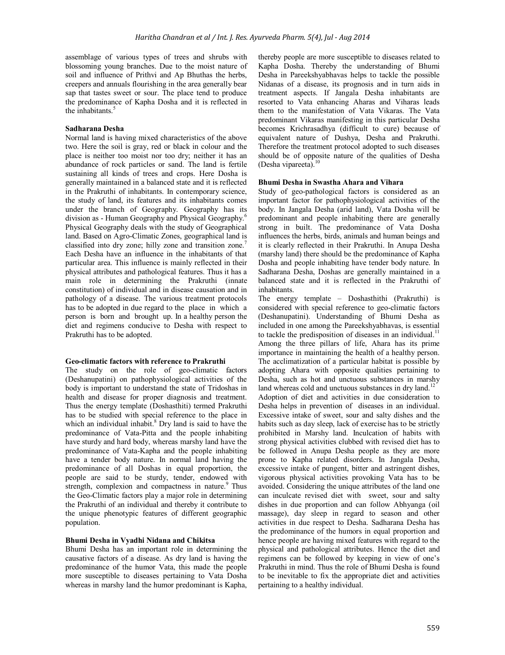assemblage of various types of trees and shrubs with blossoming young branches. Due to the moist nature of soil and influence of Prithvi and Ap Bhuthas the herbs, creepers and annuals flourishing in the area generally bear sap that tastes sweet or sour. The place tend to produce the predominance of Kapha Dosha and it is reflected in the inhabitants.<sup>5</sup>

## **Sadharana Desha**

Normal land is having mixed characteristics of the above two. Here the soil is gray, red or black in colour and the place is neither too moist nor too dry; neither it has an abundance of rock particles or sand. The land is fertile sustaining all kinds of trees and crops. Here Dosha is generally maintained in a balanced state and it is reflected in the Prakruthi of inhabitants. In contemporary science, the study of land, its features and its inhabitants comes under the branch of Geography. Geography has its division as - Human Geography and Physical Geography. 6 Physical Geography deals with the study of Geographical land. Based on Agro-Climatic Zones, geographical land is classified into dry zone; hilly zone and transition zone.<sup>7</sup> Each Desha have an influence in the inhabitants of that particular area. This influence is mainly reflected in their physical attributes and pathological features. Thus it has a main role in determining the Prakruthi (innate constitution) of individual and in disease causation and in pathology of a disease. The various treatment protocols has to be adopted in due regard to the place in which a person is born and brought up. In a healthy person the diet and regimens conducive to Desha with respect to Prakruthi has to be adopted.

## **Geo-climatic factors with reference to Prakruthi**

The study on the role of geo-climatic factors (Deshanupatini) on pathophysiological activities of the body is important to understand the state of Tridoshas in health and disease for proper diagnosis and treatment. Thus the energy template (Doshasthiti) termed Prakruthi has to be studied with special reference to the place in which an individual inhabit. <sup>8</sup> Dry land is said to have the predominance of Vata-Pitta and the people inhabiting have sturdy and hard body, whereas marshy land have the predominance of Vata-Kapha and the people inhabiting have a tender body nature. In normal land having the predominance of all Doshas in equal proportion, the people are said to be sturdy, tender, endowed with strength, complexion and compactness in nature.<sup>9</sup> Thus the Geo-Climatic factors play a major role in determining the Prakruthi of an individual and thereby it contribute to the unique phenotypic features of different geographic population.

## **Bhumi Desha in Vyadhi Nidana and Chikitsa**

Bhumi Desha has an important role in determining the causative factors of a disease. As dry land is having the predominance of the humor Vata, this made the people more susceptible to diseases pertaining to Vata Dosha whereas in marshy land the humor predominant is Kapha,

thereby people are more susceptible to diseases related to Kapha Dosha. Thereby the understanding of Bhumi Desha in Pareekshyabhavas helps to tackle the possible Nidanas of a disease, its prognosis and in turn aids in treatment aspects. If Jangala Desha inhabitants are resorted to Vata enhancing Aharas and Viharas leads them to the manifestation of Vata Vikaras. The Vata predominant Vikaras manifesting in this particular Desha becomes Krichrasadhya (difficult to cure) because of equivalent nature of Dushya, Desha and Prakruthi. Therefore the treatment protocol adopted to such diseases should be of opposite nature of the qualities of Desha (Desha vipareeta). 10

# **Bhumi Desha in Swastha Ahara and Vihara**

Study of geo-pathological factors is considered as an important factor for pathophysiological activities of the body. In Jangala Desha (arid land), Vata Dosha will be predominant and people inhabiting there are generally strong in built. The predominance of Vata Dosha influences the herbs, birds, animals and human beings and it is clearly reflected in their Prakruthi. In Anupa Desha (marshy land) there should be the predominance of Kapha Dosha and people inhabiting have tender body nature. In Sadharana Desha, Doshas are generally maintained in a balanced state and it is reflected in the Prakruthi of inhabitants.

The energy template – Doshasthithi (Prakruthi) is considered with special reference to geo-climatic factors (Deshanupatini). Understanding of Bhumi Desha as included in one among the Pareekshyabhavas, is essential to tackle the predisposition of diseases in an individual.<sup>11</sup> Among the three pillars of life, Ahara has its prime importance in maintaining the health of a healthy person. The acclimatization of a particular habitat is possible by adopting Ahara with opposite qualities pertaining to Desha, such as hot and unctuous substances in marshy land whereas cold and unctuous substances in dry land.<sup>12</sup> Adoption of diet and activities in due consideration to Desha helps in prevention of diseases in an individual. Excessive intake of sweet, sour and salty dishes and the habits such as day sleep, lack of exercise has to be strictly prohibited in Marshy land. Inculcation of habits with strong physical activities clubbed with revised diet has to be followed in Anupa Desha people as they are more prone to Kapha related disorders. In Jangala Desha, excessive intake of pungent, bitter and astringent dishes, vigorous physical activities provoking Vata has to be avoided. Considering the unique attributes of the land one can inculcate revised diet with sweet, sour and salty dishes in due proportion and can follow Abhyanga (oil massage), day sleep in regard to season and other activities in due respect to Desha. Sadharana Desha has the predominance of the humors in equal proportion and hence people are having mixed features with regard to the physical and pathological attributes. Hence the diet and regimens can be followed by keeping in view of one's Prakruthi in mind. Thus the role of Bhumi Desha is found to be inevitable to fix the appropriate diet and activities pertaining to a healthy individual.